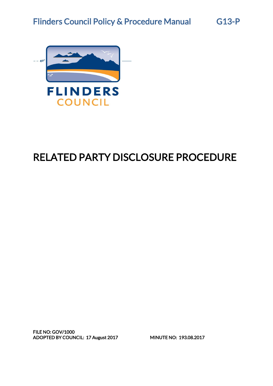

# RELATED PARTY DISCLOSURE PROCEDURE

FILE NO: GOV/1000 ADOPTED BY COUNCIL: 17 August 2017 MINUTE NO: 193.08.2017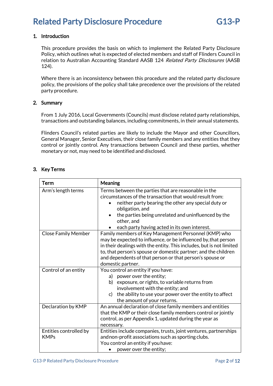#### 1. Introduction

This procedure provides the basis on which to implement the Related Party Disclosure Policy, which outlines what is expected of elected members and staff of Flinders Council in relation to Australian Accounting Standard AASB 124 Related Party Disclosures (AASB 124).

Where there is an inconsistency between this procedure and the related party disclosure policy, the provisions of the policy shall take precedence over the provisions of the related party procedure.

#### 2. Summary

From 1 July 2016, Local Governments (Councils) must disclose related party relationships, transactions and outstanding balances, including commitments, in their annual statements.

Flinders Council's related parties are likely to include the Mayor and other Councillors, General Manager, Senior Executives, their close family members and any entities that they control or jointly control. Any transactions between Council and these parties, whether monetary or not, may need to be identified and disclosed.

#### 3. Key Terms

| Term                                  | <b>Meaning</b>                                                                                                                                                                                                                                                                                                                                    |
|---------------------------------------|---------------------------------------------------------------------------------------------------------------------------------------------------------------------------------------------------------------------------------------------------------------------------------------------------------------------------------------------------|
| Arm's length terms                    | Terms between the parties that are reasonable in the<br>circumstances of the transaction that would result from:<br>neither party bearing the other any special duty or<br>$\bullet$<br>obligation, and<br>the parties being unrelated and uninfluenced by the<br>other, and<br>each party having acted in its own interest.                      |
| <b>Close Family Member</b>            | Family members of Key Management Personnel (KMP) who<br>may be expected to influence, or be influenced by, that person<br>in their dealings with the entity. This includes, but is not limited<br>to, that person's spouse or domestic partner; and the children<br>and dependents of that person or that person's spouse or<br>domestic partner. |
| Control of an entity                  | You control an entity if you have:<br>power over the entity;<br>a)<br>exposure, or rights, to variable returns from<br>b)<br>involvement with the entity; and<br>the ability to use your power over the entity to affect<br>C)<br>the amount of your returns.                                                                                     |
| Declaration by KMP                    | An annual declaration of close family members and entities<br>that the KMP or their close family members control or jointly<br>control, as per Appendix 1, updated during the year as<br>necessary.                                                                                                                                               |
| Entities controlled by<br><b>KMPs</b> | Entities include companies, trusts, joint ventures, partnerships<br>and non-profit associations such as sporting clubs.<br>You control an entity if you have:<br>power over the entity;                                                                                                                                                           |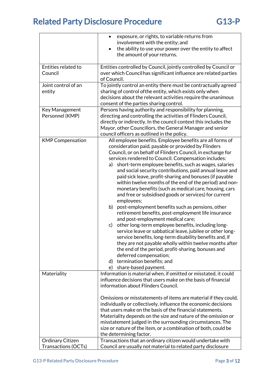|                         | exposure, or rights, to variable returns from<br>$\bullet$                                                        |  |  |  |
|-------------------------|-------------------------------------------------------------------------------------------------------------------|--|--|--|
|                         | involvement with the entity; and                                                                                  |  |  |  |
|                         | the ability to use your power over the entity to affect                                                           |  |  |  |
|                         | the amount of your returns.                                                                                       |  |  |  |
| Entities related to     | Entities controlled by Council, jointly controlled by Council or                                                  |  |  |  |
| Council                 | over which Council has significant influence are related parties                                                  |  |  |  |
|                         | of Council.                                                                                                       |  |  |  |
| Joint control of an     | To jointly control an entity there must be contractually agreed                                                   |  |  |  |
| entity                  | sharing of control of the entity, which exists only when                                                          |  |  |  |
|                         | decisions about the relevant activities require the unanimous                                                     |  |  |  |
|                         | consent of the parties sharing control.                                                                           |  |  |  |
| Key Management          | Persons having authority and responsibility for planning,                                                         |  |  |  |
| Personnel (KMP)         | directing and controlling the activities of Flinders Council,                                                     |  |  |  |
|                         | directly or indirectly. In the council context this includes the                                                  |  |  |  |
|                         | Mayor, other Councillors, the General Manager and senior                                                          |  |  |  |
|                         | council officers as outlined in the policy.<br>All employee benefits. Employee benefits are all forms of          |  |  |  |
| <b>KMP Compensation</b> | consideration paid, payable or provided by Flinders                                                               |  |  |  |
|                         | Council, or on behalf of Flinders Council, in exchange for                                                        |  |  |  |
|                         | services rendered to Council. Compensation includes:                                                              |  |  |  |
|                         | short-term employee benefits, such as wages, salaries<br>a)                                                       |  |  |  |
|                         | and social security contributions, paid annual leave and                                                          |  |  |  |
|                         | paid sick leave, profit-sharing and bonuses (if payable                                                           |  |  |  |
|                         | within twelve months of the end of the period) and non-                                                           |  |  |  |
|                         | monetary benefits (such as medical care, housing, cars                                                            |  |  |  |
|                         | and free or subsidised goods or services) for current                                                             |  |  |  |
|                         | employees;                                                                                                        |  |  |  |
|                         | post-employment benefits such as pensions, other<br>b)                                                            |  |  |  |
|                         | retirement benefits, post-employment life insurance                                                               |  |  |  |
|                         | and post-employment medical care;                                                                                 |  |  |  |
|                         | other long-term employee benefits, including long-<br>c)                                                          |  |  |  |
|                         | service leave or sabbatical leave, jubilee or other long-                                                         |  |  |  |
|                         | service benefits, long-term disability benefits and, if<br>they are not payable wholly within twelve months after |  |  |  |
|                         | the end of the period, profit-sharing, bonuses and                                                                |  |  |  |
|                         | deferred compensation;                                                                                            |  |  |  |
|                         | d) termination benefits; and                                                                                      |  |  |  |
|                         | e) share-based payment.                                                                                           |  |  |  |
| Materiality             | Information is material when, if omitted or misstated, it could                                                   |  |  |  |
|                         | influence decisions that users make on the basis of financial                                                     |  |  |  |
|                         | information about Flinders Council.                                                                               |  |  |  |
|                         |                                                                                                                   |  |  |  |
|                         | Omissions or misstatements of items are material if they could,                                                   |  |  |  |
|                         | individually or collectively, influence the economic decisions                                                    |  |  |  |
|                         | that users make on the basis of the financial statements.                                                         |  |  |  |
|                         | Materiality depends on the size and nature of the omission or                                                     |  |  |  |
|                         | misstatement judged in the surrounding circumstances. The                                                         |  |  |  |
|                         | size or nature of the item, or a combination of both, could be<br>the determining factor.                         |  |  |  |
| Ordinary Citizen        | Transactions that an ordinary citizen would undertake with                                                        |  |  |  |
| Transactions (OCTs)     | Council are usually not material to related party disclosure                                                      |  |  |  |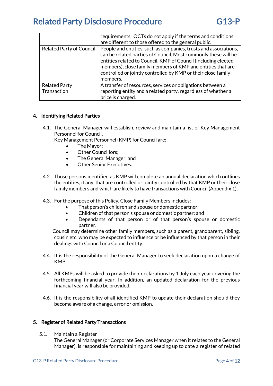|                                 | requirements. OCTs do not apply if the terms and conditions<br>are different to those offered to the general public.                                                                                                                                                                                                                             |
|---------------------------------|--------------------------------------------------------------------------------------------------------------------------------------------------------------------------------------------------------------------------------------------------------------------------------------------------------------------------------------------------|
| <b>Related Party of Council</b> | People and entities, such as companies, trusts and associations,<br>can be related parties of Council. Most commonly these will be<br>entities related to Council, KMP of Council (including elected<br>members), close family members of KMP and entities that are<br>controlled or jointly controlled by KMP or their close family<br>members. |
| <b>Related Party</b>            | A transfer of resources, services or obligations between a                                                                                                                                                                                                                                                                                       |
| Transaction                     | reporting entity and a related party, regardless of whether a<br>price is charged.                                                                                                                                                                                                                                                               |

#### 4. Identifying Related Parties

4.1. The General Manager will establish, review and maintain a list of Key Management Personnel for Council.

Key Management Personnel (KMP) for Council are:

- The Mayor;
- Other Councillors;
- The General Manager; and
- Other Senior Executives.
- 4.2. Those persons identified as KMP will complete an annual declaration which outlines the entities, if any, that are controlled or jointly controlled by that KMP or their close family members and which are likely to have transactions with Council (Appendix 1).
- 4.3. For the purpose of this Policy, Close Family Members includes:
	- That person's children and spouse or domestic partner;
	- Children of that person's spouse or domestic partner; and
	- Dependants of that person or of that person's spouse or domestic partner.

Council may determine other family members, such as a parent, grandparent, sibling, cousin etc. who may be expected to influence or be influenced by that person in their dealings with Council or a Council entity.

- 4.4. It is the responsibility of the General Manager to seek declaration upon a change of KMP.
- 4.5. All KMPs will be asked to provide their declarations by 1 July each year covering the forthcoming financial year. In addition, an updated declaration for the previous financial year will also be provided.
- 4.6. It is the responsibility of all identified KMP to update their declaration should they become aware of a change, error or omission.

#### 5. Register of Related Party Transactions

5.1. Maintain a Register

The General Manager (or Corporate Services Manager when it relates to the General Manager), is responsible for maintaining and keeping up to date a register of related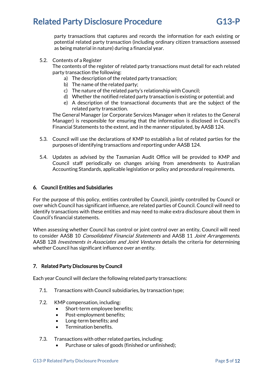party transactions that captures and records the information for each existing or potential related party transaction (including ordinary citizen transactions assessed as being material in nature) during a financial year.

5.2. Contents of a Register

The contents of the register of related party transactions must detail for each related party transaction the following:

- a) The description of the related party transaction;
- b) The name of the related party;
- c) The nature of the related party's relationship with Council;
- d) Whether the notified related party transaction is existing or potential; and
- e) A description of the transactional documents that are the subject of the related party transaction.

The General Manager (or Corporate Services Manager when it relates to the General Manager) is responsible for ensuring that the information is disclosed in Council's Financial Statements to the extent, and in the manner stipulated, by AASB 124.

- 5.3. Council will use the declarations of KMP to establish a list of related parties for the purposes of identifying transactions and reporting under AASB 124.
- 5.4. Updates as advised by the Tasmanian Audit Office will be provided to KMP and Council staff periodically on changes arising from amendments to Australian Accounting Standards, applicable legislation or policy and procedural requirements.

#### 6. Council Entities and Subsidiaries

For the purpose of this policy, entities controlled by Council, jointly controlled by Council or over which Council has significant influence, are related parties of Council. Council will need to identify transactions with these entities and may need to make extra disclosure about them in Council's financial statements.

When assessing whether Council has control or joint control over an entity, Council will need to consider AASB 10 Consolidated Financial Statements and AASB 11 Joint Arrangements. AASB 128 *Investments in Associates and Joint Ventures* details the criteria for determining whether Council has significant influence over an entity.

#### 7. Related Party Disclosures by Council

Each year Council will declare the following related party transactions:

- 7.1. Transactions with Council subsidiaries, by transaction type;
- 7.2. KMP compensation, including:
	- Short-term employee benefits;
	- Post-employment benefits;
	- Long-term benefits; and
	- **•** Termination benefits.
- 7.3. Transactions with other related parties, including:
	- Purchase or sales of goods (finished or unfinished);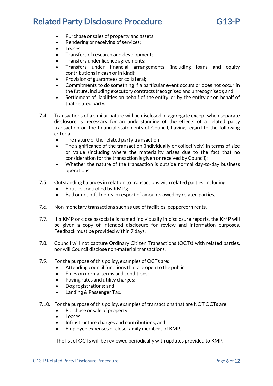- Purchase or sales of property and assets;
- Rendering or receiving of services;
- Leases:
- Transfers of research and development:
- Transfers under licence agreements;
- Transfers under financial arrangements (including loans and equity contributions in cash or in kind);
- Provision of guarantees or collateral:
- Commitments to do something if a particular event occurs or does not occur in the future, including executory contracts (recognised and unrecognised); and
- Settlement of liabilities on behalf of the entity, or by the entity or on behalf of that related party.
- 7.4. Transactions of a similar nature will be disclosed in aggregate except when separate disclosure is necessary for an understanding of the effects of a related party transaction on the financial statements of Council, having regard to the following criteria:
	- The nature of the related party transaction;
	- The significance of the transaction (individually or collectively) in terms of size or value (including where the materiality arises due to the fact that no consideration for the transaction is given or received by Council);
	- Whether the nature of the transaction is outside normal day-to-day business operations.
- 7.5. Outstanding balances in relation to transactions with related parties, including:
	- Entities controlled by KMPs;
	- Bad or doubtful debts in respect of amounts owed by related parties.
- 7.6. Non-monetary transactions such as use of facilities, peppercorn rents.
- 7.7. If a KMP or close associate is named individually in disclosure reports, the KMP will be given a copy of intended disclosure for review and information purposes. Feedback must be provided within 7 days.
- 7.8. Council will not capture Ordinary Citizen Transactions (OCTs) with related parties, nor will Council disclose non-material transactions.
- 7.9. For the purpose of this policy, examples of OCTs are:
	- Attending council functions that are open to the public.
	- Fines on normal terms and conditions:
	- Paying rates and utility charges:
	- Dog registrations; and
	- Landing & Passenger Tax.
- 7.10. For the purpose of this policy, examples of transactions that are NOT OCTs are:
	- Purchase or sale of property;
	- Leases:
	- Infrastructure charges and contributions; and
	- Employee expenses of close family members of KMP.

The list of OCTs will be reviewed periodically with updates provided to KMP.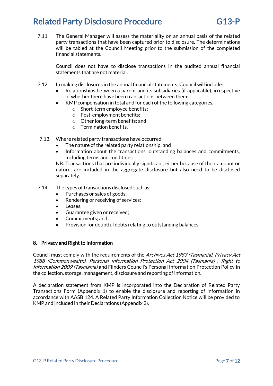7.11. The General Manager will assess the materiality on an annual basis of the related party transactions that have been captured prior to disclosure. The determinations will be tabled at the Council Meeting prior to the submission of the completed financial statements.

Council does not have to disclose transactions in the audited annual financial statements that are not material.

- 7.12. In making disclosures in the annual financial statements, Council will include:
	- Relationships between a parent and its subsidiaries (if applicable), irrespective of whether there have been transactions between them;
	- KMP compensation in total and for each of the following categories.
		- o Short-term employee benefits;
		- o Post-employment benefits;
		- o Other long-term benefits; and
		- o Termination benefits.
- 7.13. Where related party transactions have occurred:
	- The nature of the related party relationship; and
	- Information about the transactions, outstanding balances and commitments, including terms and conditions.

NB: Transactions that are individually significant, either because of their amount or nature, are included in the aggregate disclosure but also need to be disclosed separately.

- 7.14. The types of transactions disclosed such as:
	- Purchases or sales of goods;
	- Rendering or receiving of services;
	- Leases:
	- Guarantee given or received;
	- Commitments; and
	- Provision for doubtful debts relating to outstanding balances.

#### 8. Privacy and Right to Information

Council must comply with the requirements of the Archives Act 1983 (Tasmania), Privacy Act 1988 (Commonwealth), Personal Information Protection Act 2004 (Tasmania) , Right to Information 2009 (Tasmania) and Flinders Council's Personal Information Protection Policy in the collection, storage, management, disclosure and reporting of information.

A declaration statement from KMP is incorporated into the Declaration of Related Party Transactions Form (Appendix 1) to enable the disclosure and reporting of information in accordance with AASB 124. A Related Party Information Collection Notice will be provided to KMP and included in their Declarations (Appendix 2).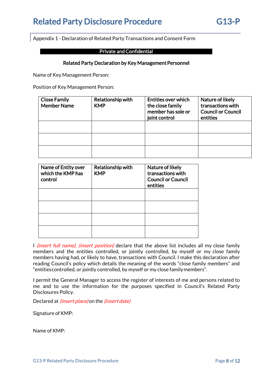Appendix 1 - Declaration of Related Party Transactions and Consent Form

#### Private and Confidential

#### Related Party Declaration by Key Management Personnel

Name of Key Management Person:

Position of Key Management Person:

| <b>Close Family</b><br><b>Member Name</b> | Relationship with<br><b>KMP</b> | <b>Entities over which</b><br>the close family<br>member has sole or<br>joint control | Nature of likely<br>transactions with<br><b>Council or Council</b><br>entities |
|-------------------------------------------|---------------------------------|---------------------------------------------------------------------------------------|--------------------------------------------------------------------------------|
|                                           |                                 |                                                                                       |                                                                                |
|                                           |                                 |                                                                                       |                                                                                |
|                                           |                                 |                                                                                       |                                                                                |

| Name of Entity over<br>which the KMP has<br>control | Relationship with<br><b>KMP</b> | Nature of likely<br>transactions with<br><b>Council or Council</b><br>entities |
|-----------------------------------------------------|---------------------------------|--------------------------------------------------------------------------------|
|                                                     |                                 |                                                                                |
|                                                     |                                 |                                                                                |
|                                                     |                                 |                                                                                |
|                                                     |                                 |                                                                                |

I *(insert full name), (insert position)* declare that the above list includes all my close family members and the entities controlled, or jointly controlled, by myself or my close family members having had, or likely to have, transactions with Council. I make this declaration after reading Council's policy which details the meaning of the words "close family members" and "entitiescontrolled, or jointly controlled, by myself or my close familymembers".

I permit the General Manager to access the register of interests of me and persons related to me and to use the information for the purposes specified in Council's Related Party Disclosures Policy.

Declared at *(insert place)* on the *(insert date)* 

Signature of KMP:

Name of KMP: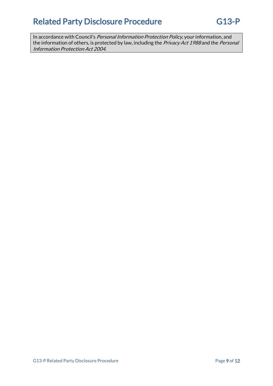In accordance with Council's Personal Information Protection Policy, your information, and the information of others, is protected by law, including the Privacy Act 1988 and the Personal Information Protection Act 2004.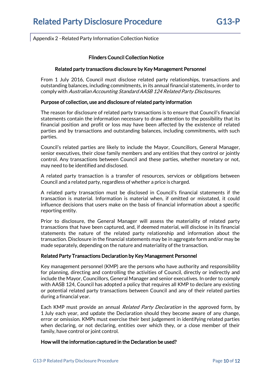Appendix 2 –Related Party Information Collection Notice

#### Flinders Council Collection Notice

#### Related party transactions disclosure by Key Management Personnel

From 1 July 2016, Council must disclose related party relationships, transactions and outstanding balances, including commitments, in its annual financial statements, in order to comply with Australian Accounting Standard AASB 124 Related Party Disclosures.

#### Purpose of collection, use and disclosure of related party information

The reason for disclosure of related party transactions is to ensure that Council's financial statements contain the information necessary to draw attention to the possibility that its financial position and profit or loss may have been affected by the existence of related parties and by transactions and outstanding balances, including commitments, with such parties.

Council's related parties are likely to include the Mayor, Councillors, General Manager, senior executives, their close family members and any entities that they control or jointly control. Any transactions between Council and these parties, whether monetary or not, may need to be identified and disclosed.

A related party transaction is a transfer of resources, services or obligations between Council and a related party, regardless of whether a price is charged.

A related party transaction must be disclosed in Council's financial statements if the transaction is material. Information is material when, if omitted or misstated, it could influence decisions that users make on the basis of financial information about a specific reporting entity.

Prior to disclosure, the General Manager will assess the materiality of related party transactions that have been captured, and, if deemed material, will disclose in its financial statements the nature of the related party relationship and information about the transaction. Disclosure in the financial statements may be in aggregate form and/or may be made separately, depending on the nature and materiality of the transaction.

#### Related Party Transactions Declaration by Key Management Personnel

Key management personnel (KMP) are the persons who have authority and responsibility for planning, directing and controlling the activities of Council, directly or indirectly and include the Mayor, Councillors, General Manager and senior executives. In order to comply with AASB 124, Council has adopted a policy that requires all KMP to declare any existing or potential related party transactions between Council and any of their related parties during a financial year.

Each KMP must provide an annual *Related Party Declaration* in the approved form, by 1 July each year, and update the Declaration should they become aware of any change, error or omission. KMPs must exercise their best judgement in identifying related parties when declaring, or not declaring, entities over which they, or a close member of their family, have control or joint control.

#### How will the information captured in the Declaration be used?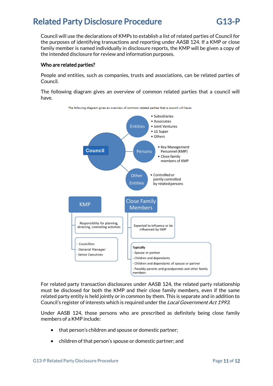Council will use the declarations of KMPs to establish a list of related parties of Council for the purposes of identifying transactions and reporting under AASB 124. If a KMP or close family member is named individually in disclosure reports, the KMP will be given a copy of the intended disclosure for review and information purposes.

#### Who are related parties?

People and entities, such as companies, trusts and associations, can be related parties of Council.

The following diagram gives an overview of common related parties that a council will have.



For related party transaction disclosures under AASB 124, the related party relationship must be disclosed for both the KMP and their close family members, even if the same related party entity is held jointly or in common by them. This is separate and in addition to Council's register of interests which is required under the *Local Government Act 1993*.

Under AASB 124, those persons who are prescribed as definitely being close family members of a KMP include:

- that person's children and spouse or domestic partner;
- children of that person's spouse or domestic partner; and